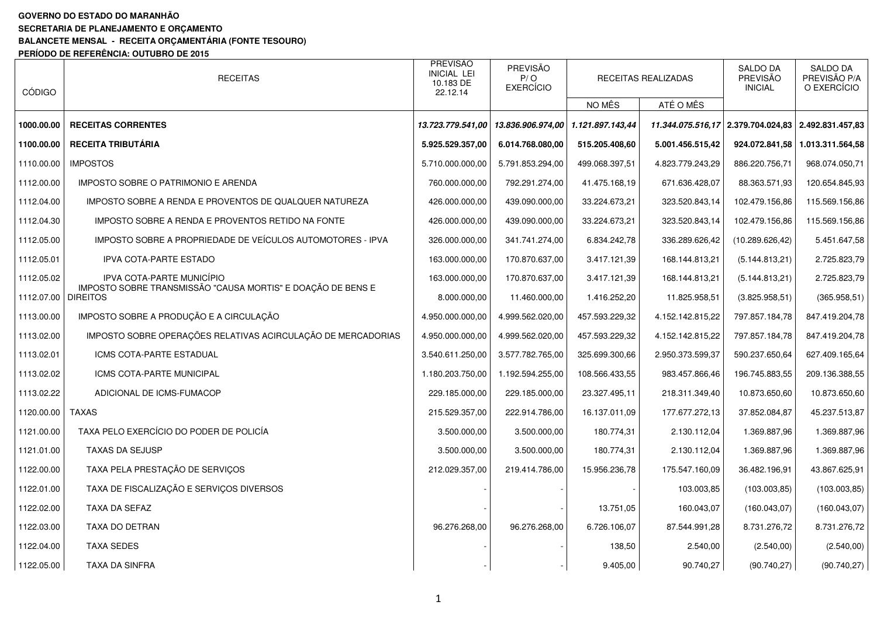## **GOVERNO DO ESTADO DO MARANHÃO**

**SECRETARIA DE PLANEJAMENTO E ORÇAMENTO** 

## **BALANCETE MENSAL - RECEITA ORÇAMENTÁRIA (FONTE TESOURO)**

**PERÍODO DE REFERÊNCIA: OUTUBRO DE 2015** 

| <b>CÓDIGO</b>         | <b>RECEITAS</b>                                                                          | PREVISÃO<br><b>INICIAL LEI</b><br>10.183 DE<br>22.12.14 | PREVISÃO<br>P/O<br><b>EXERCÍCIO</b> |                | RECEITAS REALIZADAS | SALDO DA<br>PREVISÃO<br><b>INICIAL</b>              | <b>SALDO DA</b><br>PREVISÃO P/A<br>O EXERCÍCIO |
|-----------------------|------------------------------------------------------------------------------------------|---------------------------------------------------------|-------------------------------------|----------------|---------------------|-----------------------------------------------------|------------------------------------------------|
|                       |                                                                                          |                                                         |                                     | NO MÊS         | ATÉ O MÊS           |                                                     |                                                |
| 1000.00.00            | <b>RECEITAS CORRENTES</b>                                                                | 13.723.779.541,00                                       | 13.836.906.974,00 1.121.897.143,44  |                |                     | 11.344.075.516,17 2.379.704.024,83 2.492.831.457,83 |                                                |
| 1100.00.00            | <b>RECEITA TRIBUTÁRIA</b>                                                                | 5.925.529.357,00                                        | 6.014.768.080.00                    | 515.205.408,60 | 5.001.456.515,42    | 924.072.841,58                                      | 1.013.311.564,58                               |
| 1110.00.00            | <b>IMPOSTOS</b>                                                                          | 5.710.000.000.00                                        | 5.791.853.294,00                    | 499.068.397,51 | 4.823.779.243,29    | 886.220.756,71                                      | 968.074.050,71                                 |
| 1112.00.00            | IMPOSTO SOBRE O PATRIMONIO E ARENDA                                                      | 760.000.000,00                                          | 792.291.274,00                      | 41.475.168,19  | 671.636.428,07      | 88.363.571,93                                       | 120.654.845,93                                 |
| 1112.04.00            | IMPOSTO SOBRE A RENDA E PROVENTOS DE QUALQUER NATUREZA                                   | 426.000.000,00                                          | 439.090.000,00                      | 33.224.673,21  | 323.520.843,14      | 102.479.156.86                                      | 115.569.156,86                                 |
| 1112.04.30            | IMPOSTO SOBRE A RENDA E PROVENTOS RETIDO NA FONTE                                        | 426.000.000,00                                          | 439.090.000,00                      | 33.224.673,21  | 323.520.843,14      | 102.479.156.86                                      | 115.569.156,86                                 |
| 1112.05.00            | IMPOSTO SOBRE A PROPRIEDADE DE VEÍCULOS AUTOMOTORES - IPVA                               | 326.000.000,00                                          | 341.741.274,00                      | 6.834.242,78   | 336.289.626,42      | (10.289.626, 42)                                    | 5.451.647,58                                   |
| 1112.05.01            | <b>IPVA COTA-PARTE ESTADO</b>                                                            | 163.000.000,00                                          | 170.870.637,00                      | 3.417.121,39   | 168.144.813,21      | (5.144.813,21)                                      | 2.725.823,79                                   |
| 1112.05.02            | IPVA COTA-PARTE MUNICÍPIO<br>IMPOSTO SOBRE TRANSMISSÃO "CAUSA MORTIS" E DOAÇÃO DE BENS E | 163.000.000,00                                          | 170.870.637,00                      | 3.417.121,39   | 168.144.813,21      | (5.144.813,21)                                      | 2.725.823,79                                   |
| 1112.07.00   DIREITOS |                                                                                          | 8.000.000,00                                            | 11.460.000,00                       | 1.416.252,20   | 11.825.958,51       | (3.825.958, 51)                                     | (365.958, 51)                                  |
| 1113.00.00            | IMPOSTO SOBRE A PRODUÇÃO E A CIRCULAÇÃO                                                  | 4.950.000.000.00                                        | 4.999.562.020.00                    | 457.593.229,32 | 4.152.142.815,22    | 797.857.184,78                                      | 847.419.204,78                                 |
| 1113.02.00            | IMPOSTO SOBRE OPERAÇÕES RELATIVAS ACIRCULAÇÃO DE MERCADORIAS                             | 4.950.000.000.00                                        | 4.999.562.020,00                    | 457.593.229,32 | 4.152.142.815,22    | 797.857.184,78                                      | 847.419.204,78                                 |
| 1113.02.01            | ICMS COTA-PARTE ESTADUAL                                                                 | 3.540.611.250,00                                        | 3.577.782.765,00                    | 325.699.300,66 | 2.950.373.599.37    | 590.237.650,64                                      | 627.409.165,64                                 |
| 1113.02.02            | ICMS COTA-PARTE MUNICIPAL                                                                | 1.180.203.750,00                                        | 1.192.594.255,00                    | 108.566.433,55 | 983.457.866,46      | 196.745.883,55                                      | 209.136.388,55                                 |
| 1113.02.22            | ADICIONAL DE ICMS-FUMACOP                                                                | 229.185.000,00                                          | 229.185.000,00                      | 23.327.495,11  | 218.311.349,40      | 10.873.650,60                                       | 10.873.650,60                                  |
| 1120.00.00            | <b>TAXAS</b>                                                                             | 215.529.357,00                                          | 222.914.786,00                      | 16.137.011,09  | 177.677.272,13      | 37.852.084,87                                       | 45.237.513,87                                  |
| 1121.00.00            | TAXA PELO EXERCÍCIO DO PODER DE POLICÍA                                                  | 3.500.000,00                                            | 3.500.000,00                        | 180.774,31     | 2.130.112,04        | 1.369.887,96                                        | 1.369.887,96                                   |
| 1121.01.00            | <b>TAXAS DA SEJUSP</b>                                                                   | 3.500.000,00                                            | 3.500.000,00                        | 180.774,31     | 2.130.112,04        | 1.369.887,96                                        | 1.369.887,96                                   |
| 1122.00.00            | TAXA PELA PRESTAÇÃO DE SERVIÇOS                                                          | 212.029.357,00                                          | 219.414.786,00                      | 15.956.236,78  | 175.547.160,09      | 36.482.196,91                                       | 43.867.625,91                                  |
| 1122.01.00            | TAXA DE FISCALIZAÇÃO E SERVIÇOS DIVERSOS                                                 |                                                         |                                     |                | 103.003,85          | (103.003, 85)                                       | (103.003, 85)                                  |
| 1122.02.00            | TAXA DA SEFAZ                                                                            |                                                         |                                     | 13.751,05      | 160.043,07          | (160.043, 07)                                       | (160.043, 07)                                  |
| 1122.03.00            | TAXA DO DETRAN                                                                           | 96.276.268,00                                           | 96.276.268,00                       | 6.726.106,07   | 87.544.991,28       | 8.731.276,72                                        | 8.731.276,72                                   |
| 1122.04.00            | TAXA SEDES                                                                               |                                                         |                                     | 138,50         | 2.540,00            | (2.540,00)                                          | (2.540,00)                                     |
| 1122.05.00            | TAXA DA SINFRA                                                                           |                                                         |                                     | 9.405,00       | 90.740,27           | (90.740, 27)                                        | (90.740, 27)                                   |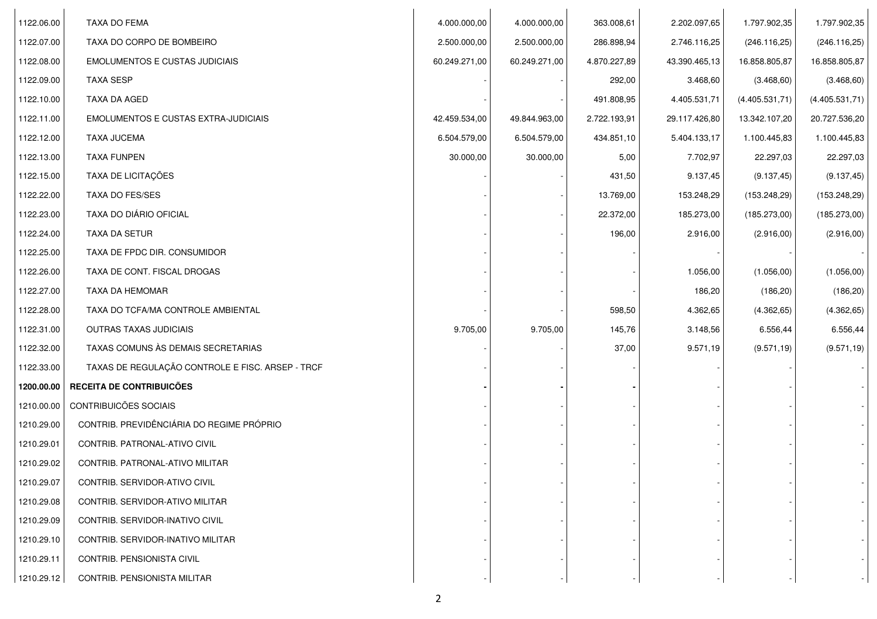| 1122.06.00 | TAXA DO FEMA                                     | 4.000.000,00  | 4.000.000,00  | 363.008,61   | 2.202.097,65  | 1.797.902,35   | 1.797.902,35   |  |
|------------|--------------------------------------------------|---------------|---------------|--------------|---------------|----------------|----------------|--|
| 1122.07.00 | TAXA DO CORPO DE BOMBEIRO                        | 2.500.000,00  | 2.500.000,00  | 286.898,94   | 2.746.116,25  | (246.116, 25)  | (246.116, 25)  |  |
| 1122.08.00 | <b>EMOLUMENTOS E CUSTAS JUDICIAIS</b>            | 60.249.271,00 | 60.249.271,00 | 4.870.227,89 | 43.390.465,13 | 16.858.805,87  | 16.858.805,87  |  |
| 1122.09.00 | <b>TAXA SESP</b>                                 |               |               | 292,00       | 3.468,60      | (3.468, 60)    | (3.468, 60)    |  |
| 1122.10.00 | TAXA DA AGED                                     |               |               | 491.808,95   | 4.405.531,71  | (4.405.531,71) | (4.405.531,71) |  |
| 1122.11.00 | <b>EMOLUMENTOS E CUSTAS EXTRA-JUDICIAIS</b>      | 42.459.534,00 | 49.844.963,00 | 2.722.193,91 | 29.117.426,80 | 13.342.107,20  | 20.727.536,20  |  |
| 1122.12.00 | <b>TAXA JUCEMA</b>                               | 6.504.579,00  | 6.504.579,00  | 434.851,10   | 5.404.133,17  | 1.100.445,83   | 1.100.445,83   |  |
| 1122.13.00 | <b>TAXA FUNPEN</b>                               | 30.000,00     | 30.000,00     | 5,00         | 7.702,97      | 22.297,03      | 22.297,03      |  |
| 1122.15.00 | TAXA DE LICITAÇÕES                               |               |               | 431,50       | 9.137,45      | (9.137, 45)    | (9.137, 45)    |  |
| 1122.22.00 | TAXA DO FES/SES                                  |               |               | 13.769,00    | 153.248,29    | (153.248, 29)  | (153.248, 29)  |  |
| 1122.23.00 | TAXA DO DIÁRIO OFICIAL                           |               |               | 22.372,00    | 185.273,00    | (185.273,00)   | (185.273,00)   |  |
| 1122.24.00 | <b>TAXA DA SETUR</b>                             |               |               | 196,00       | 2.916,00      | (2.916,00)     | (2.916,00)     |  |
| 1122.25.00 | TAXA DE FPDC DIR. CONSUMIDOR                     |               |               |              |               |                |                |  |
| 1122.26.00 | TAXA DE CONT. FISCAL DROGAS                      |               |               |              | 1.056,00      | (1.056, 00)    | (1.056,00)     |  |
| 1122.27.00 | TAXA DA HEMOMAR                                  |               |               |              | 186,20        | (186, 20)      | (186, 20)      |  |
| 1122.28.00 | TAXA DO TCFA/MA CONTROLE AMBIENTAL               |               |               | 598,50       | 4.362,65      | (4.362, 65)    | (4.362, 65)    |  |
| 1122.31.00 | <b>OUTRAS TAXAS JUDICIAIS</b>                    | 9.705,00      | 9.705,00      | 145,76       | 3.148,56      | 6.556,44       | 6.556,44       |  |
| 1122.32.00 | TAXAS COMUNS ÀS DEMAIS SECRETARIAS               |               |               | 37,00        | 9.571,19      | (9.571, 19)    | (9.571, 19)    |  |
| 1122.33.00 | TAXAS DE REGULAÇÃO CONTROLE E FISC. ARSEP - TRCF |               |               |              |               |                |                |  |
| 1200.00.00 | RECEITA DE CONTRIBUICÕES                         |               |               |              |               |                |                |  |
| 1210.00.00 | CONTRIBUICÕES SOCIAIS                            |               |               |              |               |                |                |  |
| 1210.29.00 | CONTRIB. PREVIDÊNCIÁRIA DO REGIME PRÓPRIO        |               |               |              |               |                |                |  |
| 1210.29.01 | CONTRIB. PATRONAL-ATIVO CIVIL                    |               |               |              |               |                |                |  |
| 1210.29.02 | CONTRIB. PATRONAL-ATIVO MILITAR                  |               |               |              |               |                |                |  |
| 1210.29.07 | CONTRIB. SERVIDOR-ATIVO CIVIL                    |               |               |              |               |                |                |  |
| 1210.29.08 | CONTRIB. SERVIDOR-ATIVO MILITAR                  |               |               |              |               |                |                |  |
| 1210.29.09 | CONTRIB. SERVIDOR-INATIVO CIVIL                  |               |               |              |               |                |                |  |
| 1210.29.10 | CONTRIB. SERVIDOR-INATIVO MILITAR                |               |               |              |               |                |                |  |
| 1210.29.11 | CONTRIB. PENSIONISTA CIVIL                       |               |               |              |               |                |                |  |
| 1210.29.12 | CONTRIB. PENSIONISTA MILITAR                     |               |               |              |               |                |                |  |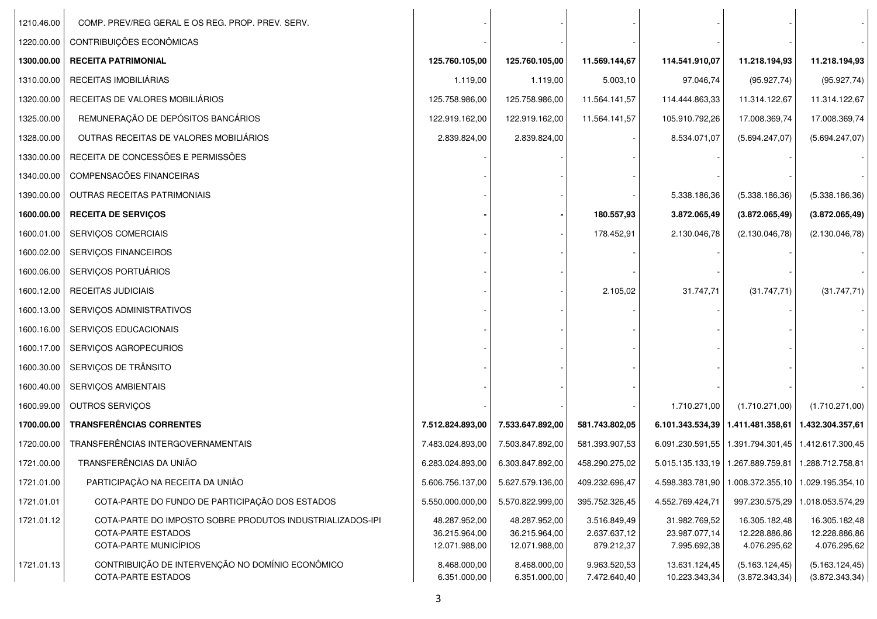| 1210.46.00 | COMP. PREV/REG GERAL E OS REG. PROP. PREV. SERV.                       |                                |                                |                              |                                |                                                        |                                   |
|------------|------------------------------------------------------------------------|--------------------------------|--------------------------------|------------------------------|--------------------------------|--------------------------------------------------------|-----------------------------------|
| 1220.00.00 | CONTRIBUIÇÕES ECONÔMICAS                                               |                                |                                |                              |                                |                                                        |                                   |
| 1300.00.00 | <b>RECEITA PATRIMONIAL</b>                                             | 125.760.105,00                 | 125.760.105,00                 | 11.569.144,67                | 114.541.910,07                 | 11.218.194,93                                          | 11.218.194,93                     |
| 1310.00.00 | RECEITAS IMOBILIÁRIAS                                                  | 1.119,00                       | 1.119,00                       | 5.003,10                     | 97.046,74                      | (95.927,74)                                            | (95.927, 74)                      |
| 1320.00.00 | RECEITAS DE VALORES MOBILIÁRIOS                                        | 125.758.986,00                 | 125.758.986,00                 | 11.564.141,57                | 114.444.863,33                 | 11.314.122,67                                          | 11.314.122,67                     |
| 1325.00.00 | REMUNERAÇÃO DE DEPÓSITOS BANCÁRIOS                                     | 122.919.162,00                 | 122.919.162,00                 | 11.564.141,57                | 105.910.792,26                 | 17.008.369,74                                          | 17.008.369,74                     |
| 1328.00.00 | OUTRAS RECEITAS DE VALORES MOBILIÁRIOS                                 | 2.839.824,00                   | 2.839.824,00                   |                              | 8.534.071,07                   | (5.694.247,07)                                         | (5.694.247,07)                    |
| 1330.00.00 | RECEITA DE CONCESSÕES E PERMISSÕES                                     |                                |                                |                              |                                |                                                        |                                   |
| 1340.00.00 | COMPENSACÕES FINANCEIRAS                                               |                                |                                |                              |                                |                                                        |                                   |
| 1390.00.00 | OUTRAS RECEITAS PATRIMONIAIS                                           |                                |                                |                              | 5.338.186,36                   | (5.338.186, 36)                                        | (5.338.186, 36)                   |
| 1600.00.00 | <b>RECEITA DE SERVIÇOS</b>                                             |                                |                                | 180.557,93                   | 3.872.065,49                   | (3.872.065, 49)                                        | (3.872.065, 49)                   |
| 1600.01.00 | SERVIÇOS COMERCIAIS                                                    |                                |                                | 178.452,91                   | 2.130.046,78                   | (2.130.046,78)                                         | (2.130.046,78)                    |
| 1600.02.00 | SERVIÇOS FINANCEIROS                                                   |                                |                                |                              |                                |                                                        |                                   |
| 1600.06.00 | SERVIÇOS PORTUÁRIOS                                                    |                                |                                |                              |                                |                                                        |                                   |
| 1600.12.00 | <b>RECEITAS JUDICIAIS</b>                                              |                                |                                | 2.105,02                     | 31.747,71                      | (31.747, 71)                                           | (31.747, 71)                      |
| 1600.13.00 | SERVIÇOS ADMINISTRATIVOS                                               |                                |                                |                              |                                |                                                        |                                   |
| 1600.16.00 | SERVIÇOS EDUCACIONAIS                                                  |                                |                                |                              |                                |                                                        |                                   |
| 1600.17.00 | SERVIÇOS AGROPECURIOS                                                  |                                |                                |                              |                                |                                                        |                                   |
| 1600.30.00 | SERVIÇOS DE TRÂNSITO                                                   |                                |                                |                              |                                |                                                        |                                   |
| 1600.40.00 | SERVIÇOS AMBIENTAIS                                                    |                                |                                |                              |                                |                                                        |                                   |
| 1600.99.00 | OUTROS SERVIÇOS                                                        |                                |                                |                              | 1.710.271,00                   | (1.710.271,00)                                         | (1.710.271,00)                    |
| 1700.00.00 | <b>TRANSFERÊNCIAS CORRENTES</b>                                        | 7.512.824.893,00               | 7.533.647.892,00               | 581.743.802,05               |                                | 6.101.343.534,39   1.411.481.358,61   1.432.304.357,61 |                                   |
| 1720.00.00 | TRANSFERÊNCIAS INTERGOVERNAMENTAIS                                     | 7.483.024.893,00               | 7.503.847.892,00               | 581.393.907,53               |                                | 6.091.230.591,55   1.391.794.301,45   1.412.617.300,45 |                                   |
| 1721.00.00 | TRANSFERÊNCIAS DA UNIÃO                                                | 6.283.024.893,00               | 6.303.847.892,00               | 458.290.275,02               |                                | 5.015.135.133,19   1.267.889.759,81   1.288.712.758,81 |                                   |
| 1721.01.00 | PARTICIPAÇÃO NA RECEITA DA UNIÃO                                       | 5.606.756.137,00               | 5.627.579.136,00               | 409.232.696,47               | 4.598.383.781,90               | 1.008.372.355,10                                       | 1.029.195.354,10                  |
| 1721.01.01 | COTA-PARTE DO FUNDO DE PARTICIPAÇÃO DOS ESTADOS                        | 5.550.000.000,00               | 5.570.822.999,00               | 395.752.326,45               | 4.552.769.424,71               | 997.230.575,29                                         | 1.018.053.574,29                  |
| 1721.01.12 | COTA-PARTE DO IMPOSTO SOBRE PRODUTOS INDUSTRIALIZADOS-IPI              | 48.287.952,00                  | 48.287.952,00                  | 3.516.849,49                 | 31.982.769,52                  | 16.305.182,48                                          | 16.305.182,48                     |
|            | COTA-PARTE ESTADOS<br>COTA-PARTE MUNICÍPIOS                            | 36.215.964,00<br>12.071.988,00 | 36.215.964,00<br>12.071.988,00 | 2.637.637,12<br>879.212,37   | 23.987.077,14<br>7.995.692,38  | 12.228.886,86<br>4.076.295,62                          | 12.228.886,86<br>4.076.295,62     |
| 1721.01.13 | CONTRIBUIÇÃO DE INTERVENÇÃO NO DOMÍNIO ECONÔMICO<br>COTA-PARTE ESTADOS | 8.468.000,00<br>6.351.000,00   | 8.468.000,00<br>6.351.000,00   | 9.963.520,53<br>7.472.640,40 | 13.631.124,45<br>10.223.343,34 | (5.163.124, 45)<br>(3.872.343, 34)                     | (5.163.124, 45)<br>(3.872.343.34) |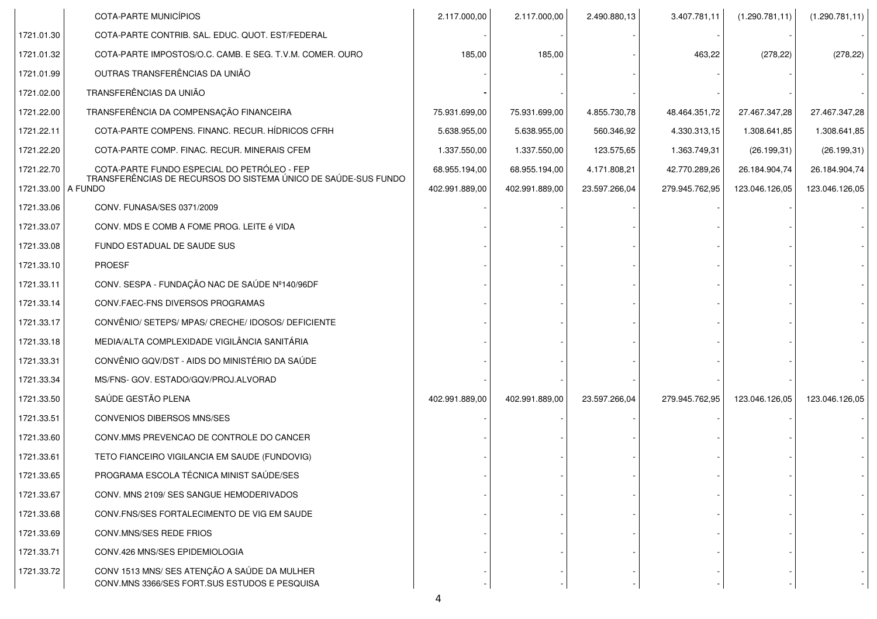|                    | COTA-PARTE MUNICÍPIOS                                                                         | 2.117.000,00   | 2.117.000,00   | 2.490.880,13  | 3.407.781,11   | (1.290.781, 11) | (1.290.781, 11) |
|--------------------|-----------------------------------------------------------------------------------------------|----------------|----------------|---------------|----------------|-----------------|-----------------|
| 1721.01.30         | COTA-PARTE CONTRIB. SAL. EDUC. QUOT. EST/FEDERAL                                              |                |                |               |                |                 |                 |
| 1721.01.32         | COTA-PARTE IMPOSTOS/O.C. CAMB. E SEG. T.V.M. COMER. OURO                                      | 185,00         | 185,00         |               | 463,22         | (278, 22)       | (278, 22)       |
| 1721.01.99         | OUTRAS TRANSFERÊNCIAS DA UNIÃO                                                                |                |                |               |                |                 |                 |
| 1721.02.00         | TRANSFERÊNCIAS DA UNIÃO                                                                       |                |                |               |                |                 |                 |
| 1721.22.00         | TRANSFERÊNCIA DA COMPENSAÇÃO FINANCEIRA                                                       | 75.931.699,00  | 75.931.699,00  | 4.855.730,78  | 48.464.351,72  | 27.467.347,28   | 27.467.347,28   |
| 1721.22.11         | COTA-PARTE COMPENS. FINANC. RECUR. HÍDRICOS CFRH                                              | 5.638.955,00   | 5.638.955,00   | 560.346,92    | 4.330.313,15   | 1.308.641,85    | 1.308.641,85    |
| 1721.22.20         | COTA-PARTE COMP. FINAC. RECUR. MINERAIS CFEM                                                  | 1.337.550,00   | 1.337.550,00   | 123.575,65    | 1.363.749,31   | (26.199, 31)    | (26.199, 31)    |
| 1721.22.70         | COTA-PARTE FUNDO ESPECIAL DO PETRÓLEO - FEP                                                   | 68.955.194,00  | 68.955.194,00  | 4.171.808,21  | 42.770.289,26  | 26.184.904,74   | 26.184.904,74   |
| 1721.33.00 A FUNDO | TRANSFERÊNCIAS DE RECURSOS DO SISTEMA ÚNICO DE SAÚDE-SUS FUNDO                                | 402.991.889,00 | 402.991.889,00 | 23.597.266,04 | 279.945.762,95 | 123.046.126,05  | 123.046.126,05  |
| 1721.33.06         | CONV. FUNASA/SES 0371/2009                                                                    |                |                |               |                |                 |                 |
| 1721.33.07         | CONV. MDS E COMB A FOME PROG. LEITE é VIDA                                                    |                |                |               |                |                 |                 |
| 1721.33.08         | FUNDO ESTADUAL DE SAUDE SUS                                                                   |                |                |               |                |                 |                 |
| 1721.33.10         | <b>PROESF</b>                                                                                 |                |                |               |                |                 |                 |
| 1721.33.11         | CONV. SESPA - FUNDAÇÃO NAC DE SAÚDE Nº140/96DF                                                |                |                |               |                |                 |                 |
| 1721.33.14         | CONV.FAEC-FNS DIVERSOS PROGRAMAS                                                              |                |                |               |                |                 |                 |
| 1721.33.17         | CONVÊNIO/ SETEPS/ MPAS/ CRECHE/ IDOSOS/ DEFICIENTE                                            |                |                |               |                |                 |                 |
| 1721.33.18         | MEDIA/ALTA COMPLEXIDADE VIGILÂNCIA SANITÁRIA                                                  |                |                |               |                |                 |                 |
| 1721.33.31         | CONVÊNIO GQV/DST - AIDS DO MINISTÉRIO DA SAÚDE                                                |                |                |               |                |                 |                 |
| 1721.33.34         | MS/FNS- GOV. ESTADO/GQV/PROJ.ALVORAD                                                          |                |                |               |                |                 |                 |
| 1721.33.50         | SAÚDE GESTÃO PLENA                                                                            | 402.991.889,00 | 402.991.889,00 | 23.597.266,04 | 279.945.762,95 | 123.046.126,05  | 123.046.126,05  |
| 1721.33.51         | CONVENIOS DIBERSOS MNS/SES                                                                    |                |                |               |                |                 |                 |
| 1721.33.60         | CONV.MMS PREVENCAO DE CONTROLE DO CANCER                                                      |                |                |               |                |                 |                 |
| 1721.33.61         | TETO FIANCEIRO VIGILANCIA EM SAUDE (FUNDOVIG)                                                 |                |                |               |                |                 |                 |
| 1721.33.65         | PROGRAMA ESCOLA TÉCNICA MINIST SAÚDE/SES                                                      |                |                |               |                |                 |                 |
| 1721.33.67         | CONV. MNS 2109/ SES SANGUE HEMODERIVADOS                                                      |                |                |               |                |                 |                 |
| 1721.33.68         | CONV. FNS/SES FORTALECIMENTO DE VIG EM SAUDE                                                  |                |                |               |                |                 |                 |
| 1721.33.69         | CONV.MNS/SES REDE FRIOS                                                                       |                |                |               |                |                 |                 |
| 1721.33.71         | CONV.426 MNS/SES EPIDEMIOLOGIA                                                                |                |                |               |                |                 |                 |
| 1721.33.72         | CONV 1513 MNS/ SES ATENÇÃO A SAÚDE DA MULHER<br>CONV.MNS 3366/SES FORT.SUS ESTUDOS E PESQUISA |                |                |               |                |                 |                 |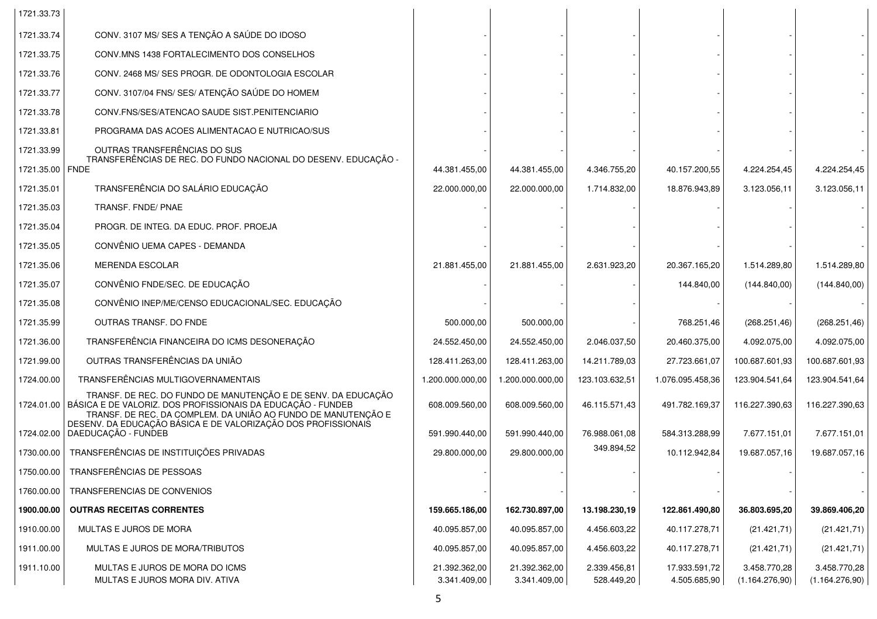| 1721.33.73                    |                                                                                                                                                                                                            |                               |                               |                            |                               |                                |                                |
|-------------------------------|------------------------------------------------------------------------------------------------------------------------------------------------------------------------------------------------------------|-------------------------------|-------------------------------|----------------------------|-------------------------------|--------------------------------|--------------------------------|
| 1721.33.74                    | CONV. 3107 MS/ SES A TENÇÃO A SAÚDE DO IDOSO                                                                                                                                                               |                               |                               |                            |                               |                                |                                |
| 1721.33.75                    | CONV.MNS 1438 FORTALECIMENTO DOS CONSELHOS                                                                                                                                                                 |                               |                               |                            |                               |                                |                                |
| 1721.33.76                    | CONV. 2468 MS/ SES PROGR. DE ODONTOLOGIA ESCOLAR                                                                                                                                                           |                               |                               |                            |                               |                                |                                |
| 1721.33.77                    | CONV. 3107/04 FNS/ SES/ ATENÇÃO SAÚDE DO HOMEM                                                                                                                                                             |                               |                               |                            |                               |                                |                                |
| 1721.33.78                    | CONV.FNS/SES/ATENCAO SAUDE SIST.PENITENCIARIO                                                                                                                                                              |                               |                               |                            |                               |                                |                                |
| 1721.33.81                    | PROGRAMA DAS ACOES ALIMENTACAO E NUTRICAO/SUS                                                                                                                                                              |                               |                               |                            |                               |                                |                                |
| 1721.33.99<br>1721.35.00 FNDE | OUTRAS TRANSFERÊNCIAS DO SUS<br>TRANSFERÊNCIAS DE REC. DO FUNDO NACIONAL DO DESENV. EDUCAÇÃO -                                                                                                             | 44.381.455,00                 | 44.381.455,00                 | 4.346.755,20               | 40.157.200,55                 | 4.224.254,45                   | 4.224.254,45                   |
| 1721.35.01                    | TRANSFERÊNCIA DO SALÁRIO EDUCAÇÃO                                                                                                                                                                          | 22.000.000,00                 | 22.000.000,00                 | 1.714.832,00               | 18.876.943,89                 | 3.123.056,11                   | 3.123.056,11                   |
| 1721.35.03                    | TRANSF. FNDE/ PNAE                                                                                                                                                                                         |                               |                               |                            |                               |                                |                                |
| 1721.35.04                    | PROGR. DE INTEG. DA EDUC. PROF. PROEJA                                                                                                                                                                     |                               |                               |                            |                               |                                |                                |
| 1721.35.05                    | CONVÊNIO UEMA CAPES - DEMANDA                                                                                                                                                                              |                               |                               |                            |                               |                                |                                |
| 1721.35.06                    | <b>MERENDA ESCOLAR</b>                                                                                                                                                                                     | 21.881.455.00                 | 21.881.455,00                 | 2.631.923,20               | 20.367.165,20                 | 1.514.289,80                   | 1.514.289,80                   |
| 1721.35.07                    | CONVÊNIO FNDE/SEC. DE EDUCAÇÃO                                                                                                                                                                             |                               |                               |                            | 144.840,00                    | (144.840,00)                   | (144.840,00)                   |
| 1721.35.08                    | CONVÊNIO INEP/ME/CENSO EDUCACIONAL/SEC. EDUCAÇÃO                                                                                                                                                           |                               |                               |                            |                               |                                |                                |
| 1721.35.99                    | OUTRAS TRANSF. DO FNDE                                                                                                                                                                                     | 500.000,00                    | 500.000,00                    |                            | 768.251,46                    | (268.251, 46)                  | (268.251, 46)                  |
| 1721.36.00                    | TRANSFERÊNCIA FINANCEIRA DO ICMS DESONERAÇÃO                                                                                                                                                               | 24.552.450,00                 | 24.552.450,00                 | 2.046.037,50               | 20.460.375,00                 | 4.092.075,00                   | 4.092.075,00                   |
| 1721.99.00                    | OUTRAS TRANSFERÊNCIAS DA UNIÃO                                                                                                                                                                             | 128.411.263,00                | 128.411.263,00                | 14.211.789,03              | 27.723.661,07                 | 100.687.601,93                 | 100.687.601,93                 |
| 1724.00.00                    | TRANSFERÊNCIAS MULTIGOVERNAMENTAIS                                                                                                                                                                         | 1.200.000.000,00              | 1.200.000.000,00              | 123.103.632,51             | 1.076.095.458,36              | 123.904.541,64                 | 123.904.541,64                 |
|                               | TRANSF. DE REC. DO FUNDO DE MANUTENÇÃO E DE SENV. DA EDUCAÇÃO<br>1724.01.00   BÁSICA E DE VALORIZ. DOS PROFISSIONAIS DA EDUCAÇÃO - FUNDEB<br>TRANSF. DE REC. DA COMPLEM. DA UNIÃO AO FUNDO DE MANUTENÇÃO E | 608.009.560,00                | 608.009.560,00                | 46.115.571,43              | 491.782.169,37                | 116.227.390,63                 | 116.227.390,63                 |
|                               | DESENV. DA EDUCAÇÃO BÁSICA E DE VALORIZAÇÃO DOS PROFISSIONAIS<br>1724.02.00 DAEDUCAÇÃO - FUNDEB                                                                                                            | 591.990.440,00                | 591.990.440,00                | 76.988.061,08              | 584.313.288,99                | 7.677.151,01                   | 7.677.151,01                   |
| 1730.00.00                    | TRANSFERÊNCIAS DE INSTITUIÇÕES PRIVADAS                                                                                                                                                                    | 29.800.000,00                 | 29.800.000,00                 | 349.894,52                 | 10.112.942,84                 | 19.687.057,16                  | 19.687.057,16                  |
|                               | 1750.00.00   TRANSFERÊNCIAS DE PESSOAS                                                                                                                                                                     |                               |                               |                            |                               |                                |                                |
| 1760.00.00                    | TRANSFERENCIAS DE CONVENIOS                                                                                                                                                                                |                               |                               |                            |                               |                                |                                |
| 1900.00.00                    | <b>OUTRAS RECEITAS CORRENTES</b>                                                                                                                                                                           | 159.665.186,00                | 162.730.897,00                | 13.198.230,19              | 122.861.490,80                | 36.803.695,20                  | 39.869.406,20                  |
| 1910.00.00                    | MULTAS E JUROS DE MORA                                                                                                                                                                                     | 40.095.857,00                 | 40.095.857,00                 | 4.456.603,22               | 40.117.278,71                 | (21.421, 71)                   | (21.421, 71)                   |
| 1911.00.00                    | MULTAS E JUROS DE MORA/TRIBUTOS                                                                                                                                                                            | 40.095.857,00                 | 40.095.857,00                 | 4.456.603,22               | 40.117.278,71                 | (21.421, 71)                   | (21.421, 71)                   |
| 1911.10.00                    | MULTAS E JUROS DE MORA DO ICMS<br>MULTAS E JUROS MORA DIV. ATIVA                                                                                                                                           | 21.392.362,00<br>3.341.409,00 | 21.392.362,00<br>3.341.409,00 | 2.339.456,81<br>528.449,20 | 17.933.591,72<br>4.505.685,90 | 3.458.770,28<br>(1.164.276,90) | 3.458.770,28<br>(1.164.276,90) |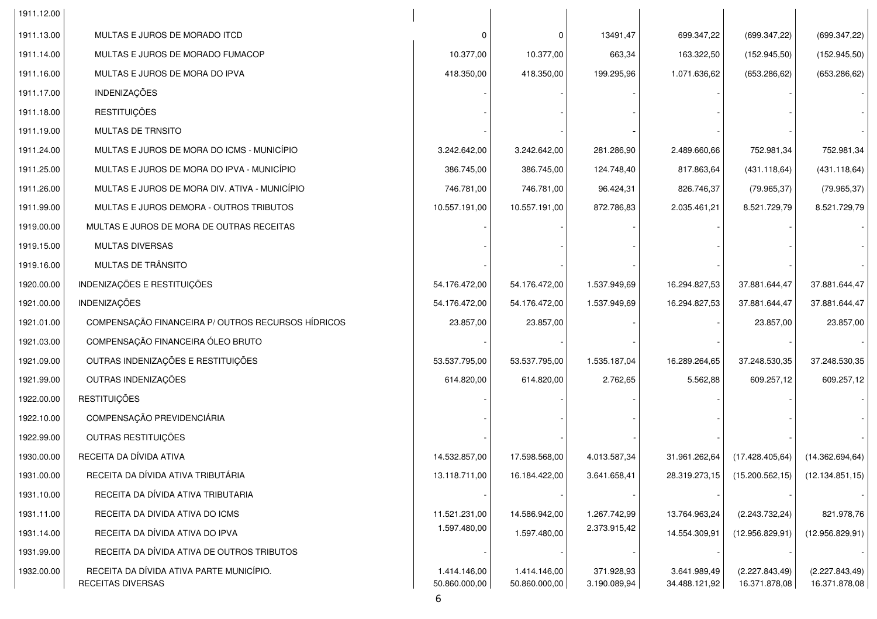| 1911.12.00 |                                                               |                               |                               |                            |                               |                                  |                                  |
|------------|---------------------------------------------------------------|-------------------------------|-------------------------------|----------------------------|-------------------------------|----------------------------------|----------------------------------|
| 1911.13.00 | MULTAS E JUROS DE MORADO ITCD                                 | $\Omega$                      | - 0                           | 13491,47                   | 699.347,22                    | (699.347, 22)                    | (699.347,22)                     |
| 1911.14.00 | MULTAS E JUROS DE MORADO FUMACOP                              | 10.377,00                     | 10.377,00                     | 663,34                     | 163.322,50                    | (152.945,50)                     | (152.945,50)                     |
| 1911.16.00 | MULTAS E JUROS DE MORA DO IPVA                                | 418.350,00                    | 418.350,00                    | 199.295,96                 | 1.071.636,62                  | (653.286, 62)                    | (653.286, 62)                    |
| 1911.17.00 | INDENIZAÇÕES                                                  |                               |                               |                            |                               |                                  |                                  |
| 1911.18.00 | <b>RESTITUIÇÕES</b>                                           |                               |                               |                            |                               |                                  |                                  |
| 1911.19.00 | <b>MULTAS DE TRNSITO</b>                                      |                               |                               |                            |                               |                                  |                                  |
| 1911.24.00 | MULTAS E JUROS DE MORA DO ICMS - MUNICÍPIO                    | 3.242.642,00                  | 3.242.642,00                  | 281.286,90                 | 2.489.660,66                  | 752.981,34                       | 752.981,34                       |
| 1911.25.00 | MULTAS E JUROS DE MORA DO IPVA - MUNICÍPIO                    | 386.745,00                    | 386.745,00                    | 124.748,40                 | 817.863,64                    | (431.118, 64)                    | (431.118, 64)                    |
| 1911.26.00 | MULTAS E JUROS DE MORA DIV. ATIVA - MUNICÍPIO                 | 746.781,00                    | 746.781,00                    | 96.424,31                  | 826.746,37                    | (79.965, 37)                     | (79.965, 37)                     |
| 1911.99.00 | MULTAS E JUROS DEMORA - OUTROS TRIBUTOS                       | 10.557.191,00                 | 10.557.191,00                 | 872.786,83                 | 2.035.461,21                  | 8.521.729,79                     | 8.521.729,79                     |
| 1919.00.00 | MULTAS E JUROS DE MORA DE OUTRAS RECEITAS                     |                               |                               |                            |                               |                                  |                                  |
| 1919.15.00 | <b>MULTAS DIVERSAS</b>                                        |                               |                               |                            |                               |                                  |                                  |
| 1919.16.00 | MULTAS DE TRÂNSITO                                            |                               |                               |                            |                               |                                  |                                  |
| 1920.00.00 | INDENIZAÇÕES E RESTITUIÇÕES                                   | 54.176.472,00                 | 54.176.472,00                 | 1.537.949,69               | 16.294.827,53                 | 37.881.644,47                    | 37.881.644,47                    |
| 1921.00.00 | <b>INDENIZAÇÕES</b>                                           | 54.176.472,00                 | 54.176.472,00                 | 1.537.949,69               | 16.294.827,53                 | 37.881.644,47                    | 37.881.644,47                    |
| 1921.01.00 | COMPENSAÇÃO FINANCEIRA P/OUTROS RECURSOS HÍDRICOS             | 23.857,00                     | 23.857,00                     |                            |                               | 23.857,00                        | 23.857,00                        |
| 1921.03.00 | COMPENSAÇÃO FINANCEIRA ÓLEO BRUTO                             |                               |                               |                            |                               |                                  |                                  |
| 1921.09.00 | OUTRAS INDENIZAÇÕES E RESTITUIÇÕES                            | 53.537.795,00                 | 53.537.795,00                 | 1.535.187,04               | 16.289.264,65                 | 37.248.530,35                    | 37.248.530,35                    |
| 1921.99.00 | OUTRAS INDENIZAÇÕES                                           | 614.820,00                    | 614.820,00                    | 2.762,65                   | 5.562,88                      | 609.257,12                       | 609.257,12                       |
| 1922.00.00 | <b>RESTITUIÇÕES</b>                                           |                               |                               |                            |                               |                                  |                                  |
| 1922.10.00 | COMPENSAÇÃO PREVIDENCIÁRIA                                    |                               |                               |                            |                               |                                  |                                  |
| 1922.99.00 | OUTRAS RESTITUIÇÕES                                           |                               |                               |                            |                               |                                  |                                  |
| 1930.00.00 | RECEITA DA DÍVIDA ATIVA                                       | 14.532.857,00                 | 17.598.568,00                 | 4.013.587,34               | 31.961.262,64                 | (17.428.405, 64)                 | (14.362.694, 64)                 |
| 1931.00.00 | RECEITA DA DÍVIDA ATIVA TRIBUTÁRIA                            | 13.118.711,00                 | 16.184.422,00                 | 3.641.658,41               | 28.319.273,15                 | (15.200.562, 15)                 | (12.134.851, 15)                 |
| 1931.10.00 | RECEITA DA DÍVIDA ATIVA TRIBUTARIA                            |                               |                               |                            |                               |                                  |                                  |
| 1931.11.00 | RECEITA DA DIVIDA ATIVA DO ICMS                               | 11.521.231,00                 | 14.586.942,00                 | 1.267.742,99               | 13.764.963,24                 | (2.243.732.24)                   | 821.978,76                       |
| 1931.14.00 | RECEITA DA DÍVIDA ATIVA DO IPVA                               | 1.597.480,00                  | 1.597.480,00                  | 2.373.915,42               | 14.554.309,91                 | (12.956.829, 91)                 | (12.956.829, 91)                 |
| 1931.99.00 | RECEITA DA DÍVIDA ATIVA DE OUTROS TRIBUTOS                    |                               |                               |                            |                               |                                  |                                  |
| 1932.00.00 | RECEITA DA DÍVIDA ATIVA PARTE MUNICÍPIO.<br>RECEITAS DIVERSAS | 1.414.146,00<br>50.860.000,00 | 1.414.146,00<br>50.860.000,00 | 371.928,93<br>3.190.089,94 | 3.641.989,49<br>34.488.121,92 | (2.227.843, 49)<br>16.371.878,08 | (2.227.843, 49)<br>16.371.878,08 |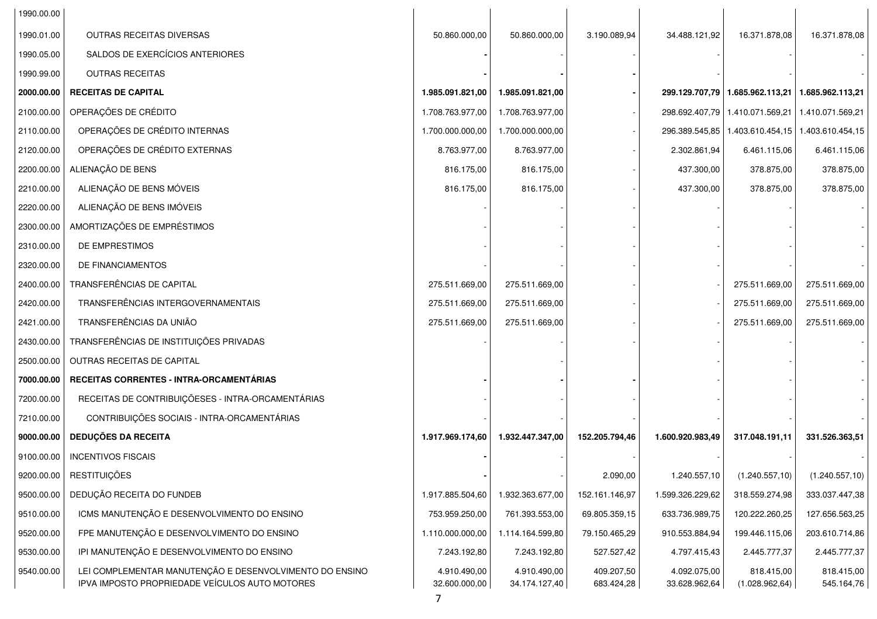| 1990.00.00 |                                                                                                           |                               |                               |                          |                               |                                                      |                          |
|------------|-----------------------------------------------------------------------------------------------------------|-------------------------------|-------------------------------|--------------------------|-------------------------------|------------------------------------------------------|--------------------------|
| 1990.01.00 | OUTRAS RECEITAS DIVERSAS                                                                                  | 50.860.000,00                 | 50.860.000,00                 | 3.190.089,94             | 34.488.121,92                 | 16.371.878,08                                        | 16.371.878,08            |
| 1990.05.00 | SALDOS DE EXERCÍCIOS ANTERIORES                                                                           |                               |                               |                          |                               |                                                      |                          |
| 1990.99.00 | <b>OUTRAS RECEITAS</b>                                                                                    |                               |                               |                          |                               |                                                      |                          |
| 2000.00.00 | <b>RECEITAS DE CAPITAL</b>                                                                                | 1.985.091.821,00              | 1.985.091.821,00              |                          |                               | 299.129.707,79   1.685.962.113,21   1.685.962.113,21 |                          |
| 2100.00.00 | OPERAÇÕES DE CRÉDITO                                                                                      | 1.708.763.977,00              | 1.708.763.977,00              |                          |                               | 298.692.407,79   1.410.071.569,21                    | 1.410.071.569,21         |
| 2110.00.00 | OPERAÇÕES DE CRÉDITO INTERNAS                                                                             | 1.700.000.000,00              | 1.700.000.000,00              |                          |                               | 296.389.545,85   1.403.610.454,15   1.403.610.454,15 |                          |
| 2120.00.00 | OPERAÇÕES DE CRÉDITO EXTERNAS                                                                             | 8.763.977,00                  | 8.763.977,00                  |                          | 2.302.861,94                  | 6.461.115,06                                         | 6.461.115,06             |
| 2200.00.00 | ALIENAÇÃO DE BENS                                                                                         | 816.175,00                    | 816.175,00                    |                          | 437.300,00                    | 378.875,00                                           | 378.875,00               |
| 2210.00.00 | ALIENAÇÃO DE BENS MÓVEIS                                                                                  | 816.175,00                    | 816.175,00                    |                          | 437.300,00                    | 378.875,00                                           | 378.875,00               |
| 2220.00.00 | ALIENAÇÃO DE BENS IMÓVEIS                                                                                 |                               |                               |                          |                               |                                                      |                          |
| 2300.00.00 | AMORTIZAÇÕES DE EMPRÉSTIMOS                                                                               |                               |                               |                          |                               |                                                      |                          |
| 2310.00.00 | DE EMPRESTIMOS                                                                                            |                               |                               |                          |                               |                                                      |                          |
| 2320.00.00 | DE FINANCIAMENTOS                                                                                         |                               |                               |                          |                               |                                                      |                          |
| 2400.00.00 | TRANSFERÊNCIAS DE CAPITAL                                                                                 | 275.511.669,00                | 275.511.669,00                |                          |                               | 275.511.669,00                                       | 275.511.669,00           |
| 2420.00.00 | TRANSFERÊNCIAS INTERGOVERNAMENTAIS                                                                        | 275.511.669,00                | 275.511.669,00                |                          |                               | 275.511.669,00                                       | 275.511.669,00           |
| 2421.00.00 | TRANSFERÊNCIAS DA UNIÃO                                                                                   | 275.511.669,00                | 275.511.669,00                |                          |                               | 275.511.669,00                                       | 275.511.669,00           |
| 2430.00.00 | TRANSFERÊNCIAS DE INSTITUIÇÕES PRIVADAS                                                                   |                               |                               |                          |                               |                                                      |                          |
| 2500.00.00 | OUTRAS RECEITAS DE CAPITAL                                                                                |                               |                               |                          |                               |                                                      |                          |
| 7000.00.00 | RECEITAS CORRENTES - INTRA-ORCAMENTÁRIAS                                                                  |                               |                               |                          |                               |                                                      |                          |
| 7200.00.00 | RECEITAS DE CONTRIBUIÇÕESES - INTRA-ORCAMENTÁRIAS                                                         |                               |                               |                          |                               |                                                      |                          |
| 7210.00.00 | CONTRIBUIÇÕES SOCIAIS - INTRA-ORCAMENTÁRIAS                                                               |                               |                               |                          |                               |                                                      |                          |
| 9000.00.00 | <b>DEDUÇÕES DA RECEITA</b>                                                                                | 1.917.969.174,60              | 1.932.447.347,00              | 152.205.794,46           | 1.600.920.983,49              | 317.048.191,11                                       | 331.526.363,51           |
| 9100.00.00 | <b>INCENTIVOS FISCAIS</b>                                                                                 |                               |                               |                          |                               |                                                      |                          |
|            | 9200.00.00   RESTITUIÇÕES                                                                                 |                               |                               | 2.090,00                 | 1.240.557,10                  | (1.240.557, 10)                                      | (1.240.557, 10)          |
| 9500.00.00 | DEDUÇÃO RECEITA DO FUNDEB                                                                                 | 1.917.885.504,60              | 1.932.363.677,00              | 152.161.146,97           | 1.599.326.229,62              | 318.559.274,98                                       | 333.037.447,38           |
| 9510.00.00 | ICMS MANUTENÇÃO E DESENVOLVIMENTO DO ENSINO                                                               | 753.959.250,00                | 761.393.553,00                | 69.805.359,15            | 633.736.989,75                | 120.222.260,25                                       | 127.656.563,25           |
| 9520.00.00 | FPE MANUTENÇÃO E DESENVOLVIMENTO DO ENSINO                                                                | 1.110.000.000,00              | 1.114.164.599,80              | 79.150.465,29            | 910.553.884,94                | 199.446.115,06                                       | 203.610.714,86           |
| 9530.00.00 | IPI MANUTENÇÃO E DESENVOLVIMENTO DO ENSINO                                                                | 7.243.192,80                  | 7.243.192,80                  | 527.527,42               | 4.797.415,43                  | 2.445.777,37                                         | 2.445.777,37             |
| 9540.00.00 | LEI COMPLEMENTAR MANUTENÇÃO E DESENVOLVIMENTO DO ENSINO<br>IPVA IMPOSTO PROPRIEDADE VEÍCULOS AUTO MOTORES | 4.910.490,00<br>32.600.000,00 | 4.910.490,00<br>34.174.127,40 | 409.207,50<br>683.424,28 | 4.092.075,00<br>33.628.962,64 | 818.415,00<br>(1.028.962, 64)                        | 818.415,00<br>545.164,76 |